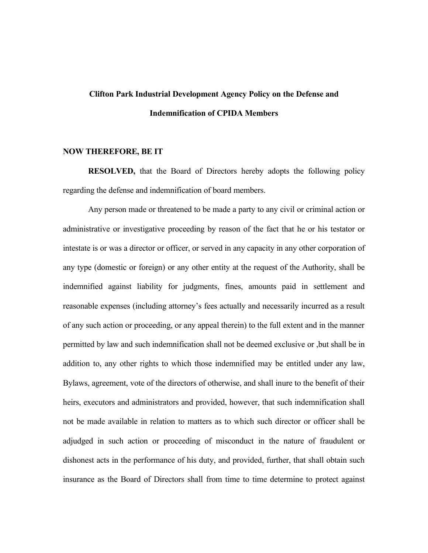## **Clifton Park Industrial Development Agency Policy on the Defense and Indemnification of CPIDA Members**

## **NOW THEREFORE, BE IT**

**RESOLVED,** that the Board of Directors hereby adopts the following policy regarding the defense and indemnification of board members.

Any person made or threatened to be made a party to any civil or criminal action or administrative or investigative proceeding by reason of the fact that he or his testator or intestate is or was a director or officer, or served in any capacity in any other corporation of any type (domestic or foreign) or any other entity at the request of the Authority, shall be indemnified against liability for judgments, fines, amounts paid in settlement and reasonable expenses (including attorney's fees actually and necessarily incurred as a result of any such action or proceeding, or any appeal therein) to the full extent and in the manner permitted by law and such indemnification shall not be deemed exclusive or ,but shall be in addition to, any other rights to which those indemnified may be entitled under any law, Bylaws, agreement, vote of the directors of otherwise, and shall inure to the benefit of their heirs, executors and administrators and provided, however, that such indemnification shall not be made available in relation to matters as to which such director or officer shall be adjudged in such action or proceeding of misconduct in the nature of fraudulent or dishonest acts in the performance of his duty, and provided, further, that shall obtain such insurance as the Board of Directors shall from time to time determine to protect against